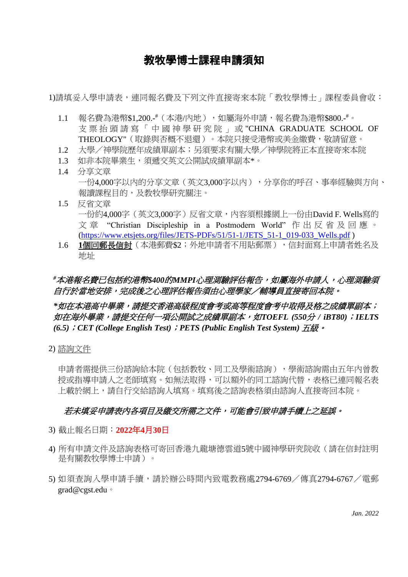## 教牧學博士課程申請須知

1)請填妥入學申請表,連同報名費及下列文件直接寄來本院「教牧學博士」課程委員會收:

- 1.1 報名費為港幣\$1,200.-#(本港/內地),如屬海外申請,報名費為港幣\$800.-#。 支 票 抬 頭 請 寫 「 中 國 神 學 研 究 院 」 或 "CHINA GRADUATE SCHOOL OF THEOLOGY"(取錄與否概不退還)。本院只接受港幣或美金繳費,敬請留意。
- 1.2 大學/神學院歷年成績單副本;另須要求有關大學/神學院將正本直接寄來本院
- 1.3 如非本院畢業生,須遞交英文公開試成績單副本\*。
- 1.4 分享文章 一份4,000字以內的分享文章(英文3,000字以內),分享你的呼召、事奉經驗與方向、 報讀課程目的,及教牧學研究關注。
- 1.5 反省文章 一份約4,000字(英文3,000字)反省文章,內容須根據網上一份由David F. Wells寫的 文章 "Christian Discipleship in a Postmodern World"作出反省及回應。 [\(https://www.etsjets.org/files/JETS-PDFs/51/51-1/JETS\\_51-1\\_019-033\\_Wells.pdf](https://www.etsjets.org/files/JETS-PDFs/51/51-1/JETS_51-1_019-033_Wells.pdf) )
- 1.6 **1**個回郵長信封(本港郵費\$2;外地申請者不用貼郵票),信封面寫上申請者姓名及 地址

## *#*本港報名費已包括約港幣*\$400*的*MMPI*心理測驗評估報告,如屬海外申請人,心理測驗須 *自行於當地安排,完成後之心理評估報告須由心理學家/輔導員直接寄回本院。*

### *\**如在本港高中畢業,請提交香港高級程度會考或高等程度會考中取得及格之成績單副本; 如在海外畢業,請提交任何一項公開試之成績單副本,如*TOEFL (550*分 */ iBT80)*;*IELTS (6.5)*;*CET (College English Test)*;*PETS (Public English Test System)* 五級。

2) 諮詢文件

申請者需提供三份諮詢給本院(包括教牧、同工及學術諮詢),學術諮詢需由五年內曾教 授或指導申請人之老師填寫。如無法取得,可以額外的同工諮詢代替,表格已連同報名表 上載於網上,請自行交給諮詢人填寫。填寫後之諮詢表格須由諮詢人直接寄回本院。

#### 若未填妥申請表內各項目及繳交所需之文件,可能會引致申請手續上之延誤。

- 3) 截止報名日期:**2022**年**4**月**30**日
- 4) 所有申請文件及諮詢表格可寄回香港九龍塘德雲道5號中國神學研究院收(請在信封註明 是有關教牧學博士申請)。
- 5) 如須查詢入學申請手續,請於辦公時間內致電教務處2794-6769/傳真2794-6767/電郵 grad@cgst.edu。

*Jan. 2022*